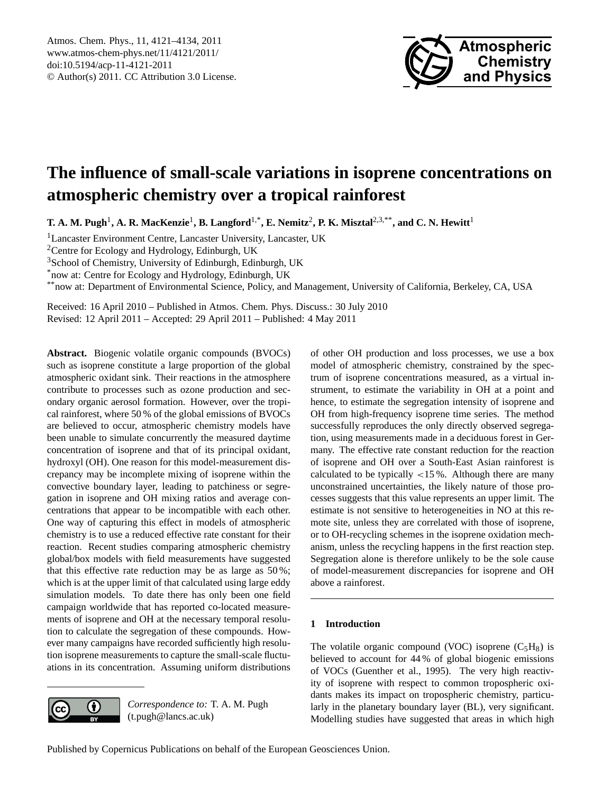

# <span id="page-0-1"></span>**The influence of small-scale variations in isoprene concentrations on atmospheric chemistry over a tropical rainforest**

**T. A. M. Pugh**<sup>1</sup> **, A. R. MacKenzie**<sup>1</sup> **, B. Langford**1,\***, E. Nemitz**<sup>2</sup> **, P. K. Misztal**2,3,\*\***, and C. N. Hewitt**<sup>1</sup>

<sup>1</sup> Lancaster Environment Centre, Lancaster University, Lancaster, UK

<sup>2</sup>Centre for Ecology and Hydrology, Edinburgh, UK

<sup>3</sup>School of Chemistry, University of Edinburgh, Edinburgh, UK

\*now at: Centre for Ecology and Hydrology, Edinburgh, UK

\*\*now at: Department of Environmental Science, Policy, and Management, University of California, Berkeley, CA, USA

Received: 16 April 2010 – Published in Atmos. Chem. Phys. Discuss.: 30 July 2010 Revised: 12 April 2011 – Accepted: 29 April 2011 – Published: 4 May 2011

**Abstract.** Biogenic volatile organic compounds (BVOCs) such as isoprene constitute a large proportion of the global atmospheric oxidant sink. Their reactions in the atmosphere contribute to processes such as ozone production and secondary organic aerosol formation. However, over the tropical rainforest, where 50 % of the global emissions of BVOCs are believed to occur, atmospheric chemistry models have been unable to simulate concurrently the measured daytime concentration of isoprene and that of its principal oxidant, hydroxyl (OH). One reason for this model-measurement discrepancy may be incomplete mixing of isoprene within the convective boundary layer, leading to patchiness or segregation in isoprene and OH mixing ratios and average concentrations that appear to be incompatible with each other. One way of capturing this effect in models of atmospheric chemistry is to use a reduced effective rate constant for their reaction. Recent studies comparing atmospheric chemistry global/box models with field measurements have suggested that this effective rate reduction may be as large as 50 %; which is at the upper limit of that calculated using large eddy simulation models. To date there has only been one field campaign worldwide that has reported co-located measurements of isoprene and OH at the necessary temporal resolution to calculate the segregation of these compounds. However many campaigns have recorded sufficiently high resolution isoprene measurements to capture the small-scale fluctuations in its concentration. Assuming uniform distributions of other OH production and loss processes, we use a box model of atmospheric chemistry, constrained by the spectrum of isoprene concentrations measured, as a virtual instrument, to estimate the variability in OH at a point and hence, to estimate the segregation intensity of isoprene and OH from high-frequency isoprene time series. The method successfully reproduces the only directly observed segregation, using measurements made in a deciduous forest in Germany. The effective rate constant reduction for the reaction of isoprene and OH over a South-East Asian rainforest is calculated to be typically  $\langle 15\% \rangle$ . Although there are many unconstrained uncertainties, the likely nature of those processes suggests that this value represents an upper limit. The estimate is not sensitive to heterogeneities in NO at this remote site, unless they are correlated with those of isoprene, or to OH-recycling schemes in the isoprene oxidation mechanism, unless the recycling happens in the first reaction step. Segregation alone is therefore unlikely to be the sole cause of model-measurement discrepancies for isoprene and OH above a rainforest.

## <span id="page-0-0"></span>**1 Introduction**

The volatile organic compound (VOC) isoprene  $(C_5H_8)$  is believed to account for 44 % of global biogenic emissions of VOCs [\(Guenther et al.,](#page-12-0) [1995\)](#page-12-0). The very high reactivity of isoprene with respect to common tropospheric oxidants makes its impact on tropospheric chemistry, particularly in the planetary boundary layer (BL), very significant. Modelling studies have suggested that areas in which high



*Correspondence to:* T. A. M. Pugh (t.pugh@lancs.ac.uk)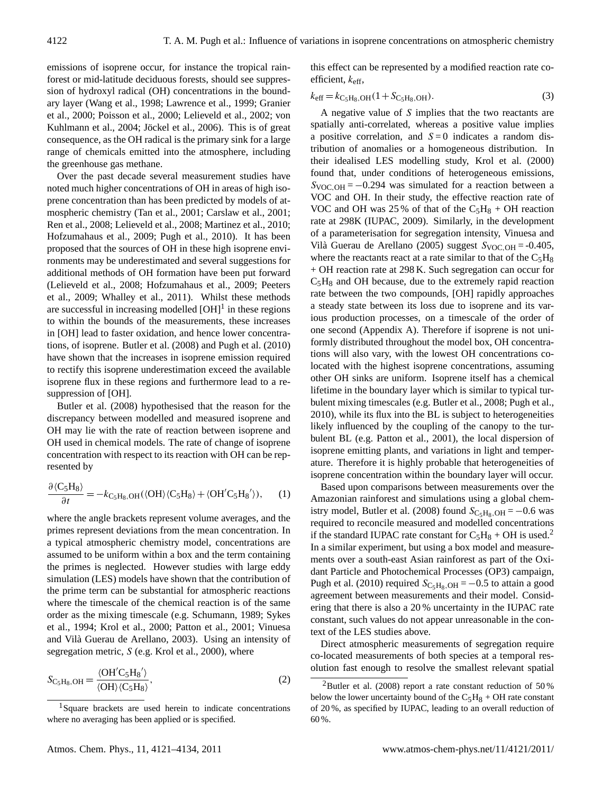emissions of isoprene occur, for instance the tropical rainforest or mid-latitude deciduous forests, should see suppression of hydroxyl radical (OH) concentrations in the boundary layer [\(Wang et al.,](#page-13-0) [1998;](#page-13-0) [Lawrence et al.,](#page-12-1) [1999;](#page-12-1) [Granier](#page-11-0) [et al.,](#page-11-0) [2000;](#page-11-0) [Poisson et al.,](#page-13-1) [2000;](#page-13-1) [Lelieveld et al.,](#page-12-2) [2002;](#page-12-2) [von](#page-13-2) [Kuhlmann et al.,](#page-13-2) [2004;](#page-13-2) Jöckel et al., [2006\)](#page-12-3). This is of great consequence, as the OH radical is the primary sink for a large range of chemicals emitted into the atmosphere, including the greenhouse gas methane.

Over the past decade several measurement studies have noted much higher concentrations of OH in areas of high isoprene concentration than has been predicted by models of atmospheric chemistry [\(Tan et al.,](#page-13-3) [2001;](#page-13-3) [Carslaw et al.,](#page-11-1) [2001;](#page-11-1) [Ren et al.,](#page-13-4) [2008;](#page-13-4) [Lelieveld et al.,](#page-12-4) [2008;](#page-12-4) [Martinez et al.,](#page-12-5) [2010;](#page-12-5) [Hofzumahaus et al.,](#page-12-6) [2009;](#page-12-6) [Pugh et al.,](#page-13-5) [2010\)](#page-13-5). It has been proposed that the sources of OH in these high isoprene environments may be underestimated and several suggestions for additional methods of OH formation have been put forward [\(Lelieveld et al.,](#page-12-4) [2008;](#page-12-4) [Hofzumahaus et al.,](#page-12-6) [2009;](#page-12-6) [Peeters](#page-13-6) [et al.,](#page-13-6) [2009;](#page-13-6) [Whalley et al.,](#page-13-7) [2011\)](#page-13-7). Whilst these methods are successful in increasing modelled  $[OH]$ <sup>[1](#page-1-0)</sup> in these regions to within the bounds of the measurements, these increases in [OH] lead to faster oxidation, and hence lower concentrations, of isoprene. [Butler et al.](#page-11-2) [\(2008\)](#page-11-2) and [Pugh et al.](#page-13-5) [\(2010\)](#page-13-5) have shown that the increases in isoprene emission required to rectify this isoprene underestimation exceed the available isoprene flux in these regions and furthermore lead to a resuppression of [OH].

[Butler et al.](#page-11-2) [\(2008\)](#page-11-2) hypothesised that the reason for the discrepancy between modelled and measured isoprene and OH may lie with the rate of reaction between isoprene and OH used in chemical models. The rate of change of isoprene concentration with respect to its reaction with OH can be represented by

$$
\frac{\partial \langle C_5 H_8 \rangle}{\partial t} = -k_{C_5 H_8, \text{OH}}(\langle \text{OH} \rangle \langle C_5 H_8 \rangle + \langle \text{OH} \langle C_5 H_8 \rangle), \tag{1}
$$

where the angle brackets represent volume averages, and the primes represent deviations from the mean concentration. In a typical atmospheric chemistry model, concentrations are assumed to be uniform within a box and the term containing the primes is neglected. However studies with large eddy simulation (LES) models have shown that the contribution of the prime term can be substantial for atmospheric reactions where the timescale of the chemical reaction is of the same order as the mixing timescale (e.g. [Schumann,](#page-13-8) [1989;](#page-13-8) [Sykes](#page-13-9) [et al.,](#page-13-9) [1994;](#page-13-9) [Krol et al.,](#page-12-7) [2000;](#page-12-7) [Patton et al.,](#page-12-8) [2001;](#page-12-8) [Vinuesa](#page-13-10) and Vilà Guerau de Arellano, [2003\)](#page-13-10). Using an intensity of segregation metric, S (e.g. [Krol et al.,](#page-12-7) [2000\)](#page-12-7), where

$$
S_{\rm C_5H_8,OH} = \frac{\langle \rm OH'C_5H_8' \rangle}{\langle \rm OH \rangle \langle \rm C_5H_8 \rangle},\tag{2}
$$

this effect can be represented by a modified reaction rate coefficient,  $k_{\text{eff}}$ ,

$$
k_{\text{eff}} = k_{\text{C}_5\text{H}_8, \text{OH}} (1 + S_{\text{C}_5\text{H}_8, \text{OH}}). \tag{3}
$$

A negative value of S implies that the two reactants are spatially anti-correlated, whereas a positive value implies a positive correlation, and  $S=0$  indicates a random distribution of anomalies or a homogeneous distribution. In their idealised LES modelling study, [Krol et al.](#page-12-7) [\(2000\)](#page-12-7) found that, under conditions of heterogeneous emissions,  $S_{VOC,OH} = -0.294$  was simulated for a reaction between a VOC and OH. In their study, the effective reaction rate of VOC and OH was 25 % of that of the  $C_5H_8 + OH$  reaction rate at 298K [\(IUPAC,](#page-12-9) [2009\)](#page-12-9). Similarly, in the development of a parameterisation for segregation intensity, [Vinuesa and](#page-13-11) Vilà Guerau de Arellano [\(2005\)](#page-13-11) suggest  $S_{VOC,OH} = -0.405$ , where the reactants react at a rate similar to that of the  $C_5H_8$ + OH reaction rate at 298 K. Such segregation can occur for  $C_5H_8$  and OH because, due to the extremely rapid reaction rate between the two compounds, [OH] rapidly approaches a steady state between its loss due to isoprene and its various production processes, on a timescale of the order of one second (Appendix [A\)](#page-0-0). Therefore if isoprene is not uniformly distributed throughout the model box, OH concentrations will also vary, with the lowest OH concentrations colocated with the highest isoprene concentrations, assuming other OH sinks are uniform. Isoprene itself has a chemical lifetime in the boundary layer which is similar to typical turbulent mixing timescales (e.g. [Butler et al.,](#page-11-2) [2008;](#page-11-2) [Pugh et al.,](#page-13-5) [2010\)](#page-13-5), while its flux into the BL is subject to heterogeneities likely influenced by the coupling of the canopy to the turbulent BL (e.g. [Patton et al.,](#page-12-8) [2001\)](#page-12-8), the local dispersion of isoprene emitting plants, and variations in light and temperature. Therefore it is highly probable that heterogeneities of isoprene concentration within the boundary layer will occur.

Based upon comparisons between measurements over the Amazonian rainforest and simulations using a global chem-istry model, [Butler et al.](#page-11-2) [\(2008\)](#page-11-2) found  $S_{C_5H_8,OH} = -0.6$  was required to reconcile measured and modelled concentrations if the standard IUPAC rate constant for  $C_5H_8 + OH$  is used.<sup>[2](#page-1-1)</sup> In a similar experiment, but using a box model and measurements over a south-east Asian rainforest as part of the Oxidant Particle and Photochemical Processes (OP3) campaign, [Pugh et al.](#page-13-5) [\(2010\)](#page-13-5) required  $S_{C_5H_8,OH} = -0.5$  to attain a good agreement between measurements and their model. Considering that there is also a 20 % uncertainty in the IUPAC rate constant, such values do not appear unreasonable in the context of the LES studies above.

Direct atmospheric measurements of segregation require co-located measurements of both species at a temporal resolution fast enough to resolve the smallest relevant spatial

<span id="page-1-0"></span><sup>&</sup>lt;sup>1</sup>Square brackets are used herein to indicate concentrations where no averaging has been applied or is specified.

<span id="page-1-1"></span> $2$ [Butler et al.](#page-11-2) [\(2008\)](#page-11-2) report a rate constant reduction of 50 % below the lower uncertainty bound of the  $C_5H_8 + OH$  rate constant of 20 %, as specified by IUPAC, leading to an overall reduction of 60 %.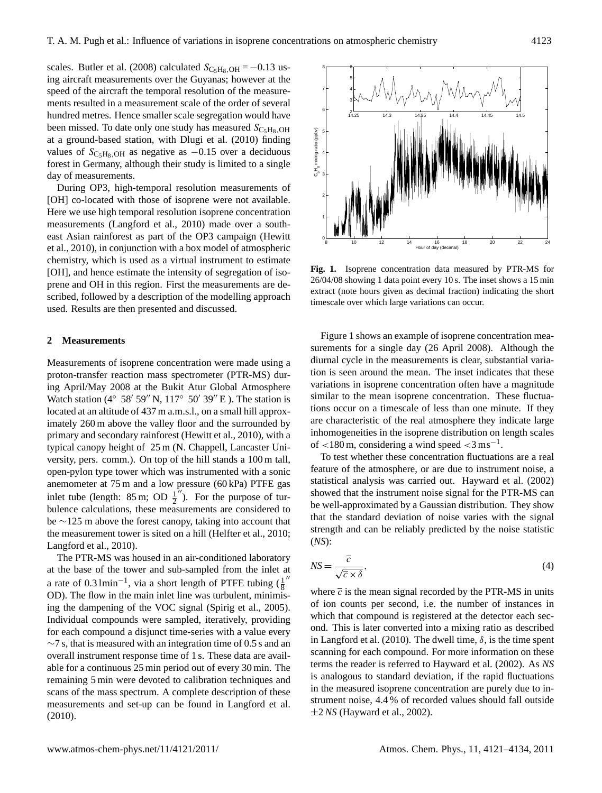scales. [Butler et al.](#page-11-2) [\(2008\)](#page-11-2) calculated  $S_{\text{C}_5\text{H}_8,OH} = -0.13$  using aircraft measurements over the Guyanas; however at the speed of the aircraft the temporal resolution of the measurements resulted in a measurement scale of the order of several 6 J 7 8ŗ

hundred metres. Hence smaller scale segregation would have been missed. To date only one study has measured  $S_{C_5H_8,OH}$ at a ground-based station, with [Dlugi et al.](#page-11-3) [\(2010\)](#page-11-3) finding values of  $S_{\text{C}_5\text{H}_8,OH}$  as negative as  $-0.15$  over a deciduous forest in Germany, although their study is limited to a single day of measurements.

During OP3, high-temporal resolution measurements of [OH] co-located with those of isoprene were not available. Here we use high temporal resolution isoprene concentration measurements [\(Langford et al.,](#page-12-10) [2010\)](#page-12-10) made over a southeast Asian rainforest as part of the OP3 campaign [\(Hewitt](#page-12-11) [et al.,](#page-12-11) [2010\)](#page-12-11), in conjunction with a box model of atmospheric chemistry, which is used as a virtual instrument to estimate [OH], and hence estimate the intensity of segregation of isoprene and OH in this region. First the measurements are described, followed by a description of the modelling approach used. Results are then presented and discussed.

## **2 Measurements**

Measurements of isoprene concentration were made using a proton-transfer reaction mass spectrometer (PTR-MS) during April/May 2008 at the Bukit Atur Global Atmosphere Watch station (4 $\degree$  58' 59" N, 117 $\degree$  50' 39" E ). The station is located at an altitude of 437 m a.m.s.l., on a small hill approximately 260 m above the valley floor and the surrounded by primary and secondary rainforest [\(Hewitt et al.,](#page-12-11) [2010\)](#page-12-11), with a typical canopy height of 25 m (N. Chappell, Lancaster University, pers. comm.). On top of the hill stands a 100 m tall, open-pylon type tower which was instrumented with a sonic anemometer at 75 m and a low pressure (60 kPa) PTFE gas inlet tube (length: 85 m; OD  $\frac{1}{2}$ "). For the purpose of turbulence calculations, these measurements are considered to be ∼125 m above the forest canopy, taking into account that the measurement tower is sited on a hill [\(Helfter et al.,](#page-12-12) [2010;](#page-12-12) [Langford et al.,](#page-12-10) [2010\)](#page-12-10).

The PTR-MS was housed in an air-conditioned laboratory at the base of the tower and sub-sampled from the inlet at a rate of 0.3 lmin<sup>-1</sup>, via a short length of PTFE tubing  $(\frac{1}{8})$  $\prime$ OD). The flow in the main inlet line was turbulent, minimising the dampening of the VOC signal [\(Spirig et al.,](#page-13-12) [2005\)](#page-13-12). Individual compounds were sampled, iteratively, providing for each compound a disjunct time-series with a value every  $\sim$ 7 s, that is measured with an integration time of 0.5 s and an overall instrument response time of 1 s. These data are available for a continuous 25 min period out of every 30 min. The remaining 5 min were devoted to calibration techniques and scans of the mass spectrum. A complete description of these measurements and set-up can be found in [Langford et al.](#page-12-10) [\(2010\)](#page-12-10).



<span id="page-2-0"></span>**Fig. 1.** Isoprene concentration data measured by PTR-MS for 26/04/08 showing 1 data point every 10 s. The inset shows a 15 min extract (note hours given as decimal fraction) indicating the short timescale over which large variations can occur.

Figure [1](#page-2-0) shows an example of isoprene concentration measurements for a single day (26 April 2008). Although the diurnal cycle in the measurements is clear, substantial variation is seen around the mean. The inset indicates that these variations in isoprene concentration often have a magnitude similar to the mean isoprene concentration. These fluctuations occur on a timescale of less than one minute. If they are characteristic of the real atmosphere they indicate large inhomogeneities in the isoprene distribution on length scales of  $\lt$ 180 m, considering a wind speed  $\lt$ 3 ms<sup>-1</sup>.

To test whether these concentration fluctuations are a real feature of the atmosphere, or are due to instrument noise, a statistical analysis was carried out. [Hayward et al.](#page-12-13) [\(2002\)](#page-12-13) showed that the instrument noise signal for the PTR-MS can be well-approximated by a Gaussian distribution. They show that the standard deviation of noise varies with the signal strength and can be reliably predicted by the noise statistic (*NS*):

$$
NS = \frac{\overline{c}}{\sqrt{\overline{c} \times \delta}},\tag{4}
$$

where  $\bar{c}$  is the mean signal recorded by the PTR-MS in units of ion counts per second, i.e. the number of instances in which that compound is registered at the detector each second. This is later converted into a mixing ratio as described in [Langford et al.](#page-12-10) [\(2010\)](#page-12-10). The dwell time,  $\delta$ , is the time spent scanning for each compound. For more information on these terms the reader is referred to [Hayward et al.](#page-12-13) [\(2002\)](#page-12-13). As *NS* is analogous to standard deviation, if the rapid fluctuations in the measured isoprene concentration are purely due to instrument noise, 4.4 % of recorded values should fall outside ±2*NS* [\(Hayward et al.,](#page-12-13) [2002\)](#page-12-13).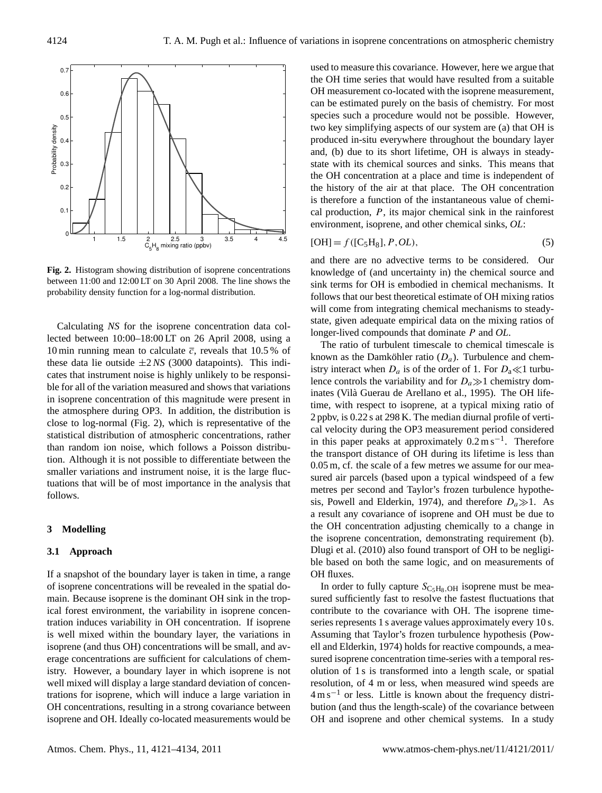

<span id="page-3-0"></span>**Fig. 2.** Histogram showing distribution of isoprene concentrations between 11:00 and 12:00 LT on 30 April 2008. The line shows the probability density function for a log-normal distribution.

Calculating *NS* for the isoprene concentration data collected between 10:00–18:00 LT on 26 April 2008, using a 10 min running mean to calculate  $\bar{c}$ , reveals that 10.5% of these data lie outside  $\pm 2$  *NS* (3000 datapoints). This indicates that instrument noise is highly unlikely to be responsible for all of the variation measured and shows that variations in isoprene concentration of this magnitude were present in the atmosphere during OP3. In addition, the distribution is close to log-normal (Fig. [2\)](#page-3-0), which is representative of the statistical distribution of atmospheric concentrations, rather than random ion noise, which follows a Poisson distribution. Although it is not possible to differentiate between the smaller variations and instrument noise, it is the large fluctuations that will be of most importance in the analysis that follows.

# **3 Modelling**

# **3.1 Approach**

If a snapshot of the boundary layer is taken in time, a range of isoprene concentrations will be revealed in the spatial domain. Because isoprene is the dominant OH sink in the tropical forest environment, the variability in isoprene concentration induces variability in OH concentration. If isoprene is well mixed within the boundary layer, the variations in isoprene (and thus OH) concentrations will be small, and average concentrations are sufficient for calculations of chemistry. However, a boundary layer in which isoprene is not well mixed will display a large standard deviation of concentrations for isoprene, which will induce a large variation in OH concentrations, resulting in a strong covariance between isoprene and OH. Ideally co-located measurements would be used to measure this covariance. However, here we argue that the OH time series that would have resulted from a suitable OH measurement co-located with the isoprene measurement, can be estimated purely on the basis of chemistry. For most species such a procedure would not be possible. However, two key simplifying aspects of our system are (a) that OH is produced in-situ everywhere throughout the boundary layer and, (b) due to its short lifetime, OH is always in steadystate with its chemical sources and sinks. This means that the OH concentration at a place and time is independent of the history of the air at that place. The OH concentration is therefore a function of the instantaneous value of chemical production, P, its major chemical sink in the rainforest environment, isoprene, and other chemical sinks, *OL*:

<span id="page-3-1"></span>
$$
[OH] = f([C5H8], P, OL),
$$
\n
$$
(5)
$$

and there are no advective terms to be considered. Our knowledge of (and uncertainty in) the chemical source and sink terms for OH is embodied in chemical mechanisms. It follows that our best theoretical estimate of OH mixing ratios will come from integrating chemical mechanisms to steadystate, given adequate empirical data on the mixing ratios of longer-lived compounds that dominate P and *OL*.

The ratio of turbulent timescale to chemical timescale is known as the Damköhler ratio  $(D_a)$ . Turbulence and chemistry interact when  $D_a$  is of the order of 1. For  $D_a \ll 1$  turbulence controls the variability and for  $D_a \gg 1$  chemistry dom-inates (Vilà Guerau de Arellano et al., [1995\)](#page-13-13). The OH lifetime, with respect to isoprene, at a typical mixing ratio of 2 ppbv, is 0.22 s at 298 K. The median diurnal profile of vertical velocity during the OP3 measurement period considered in this paper peaks at approximately 0.2 m s−<sup>1</sup> . Therefore the transport distance of OH during its lifetime is less than 0.05 m, cf. the scale of a few metres we assume for our measured air parcels (based upon a typical windspeed of a few metres per second and Taylor's frozen turbulence hypothe-sis, [Powell and Elderkin,](#page-13-14) [1974\)](#page-13-14), and therefore  $D_a \gg 1$ . As a result any covariance of isoprene and OH must be due to the OH concentration adjusting chemically to a change in the isoprene concentration, demonstrating requirement (b). [Dlugi et al.](#page-11-3) [\(2010\)](#page-11-3) also found transport of OH to be negligible based on both the same logic, and on measurements of OH fluxes.

In order to fully capture  $S_{C_5H_8,OH}$  isoprene must be measured sufficiently fast to resolve the fastest fluctuations that contribute to the covariance with OH. The isoprene timeseries represents 1 s average values approximately every 10 s. Assuming that Taylor's frozen turbulence hypothesis [\(Pow](#page-13-14)[ell and Elderkin,](#page-13-14) [1974\)](#page-13-14) holds for reactive compounds, a measured isoprene concentration time-series with a temporal resolution of 1 s is transformed into a length scale, or spatial resolution, of 4 m or less, when measured wind speeds are  $4 \text{ m s}^{-1}$  or less. Little is known about the frequency distribution (and thus the length-scale) of the covariance between OH and isoprene and other chemical systems. In a study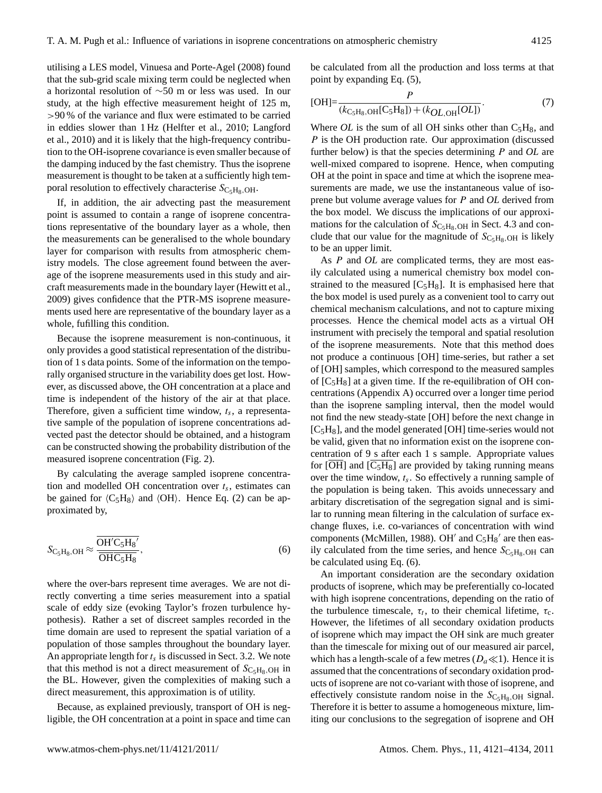utilising a LES model, [Vinuesa and Porte-Agel](#page-13-15) [\(2008\)](#page-13-15) found that the sub-grid scale mixing term could be neglected when a horizontal resolution of ∼50 m or less was used. In our study, at the high effective measurement height of 125 m, >90 % of the variance and flux were estimated to be carried in eddies slower than 1 Hz [\(Helfter et al.,](#page-12-12) [2010;](#page-12-12) [Langford](#page-12-10) [et al.,](#page-12-10) [2010\)](#page-12-10) and it is likely that the high-frequency contribution to the OH-isoprene covariance is even smaller because of the damping induced by the fast chemistry. Thus the isoprene measurement is thought to be taken at a sufficiently high temporal resolution to effectively characterise  $S_{C_5H_8,OH}$ .

If, in addition, the air advecting past the measurement point is assumed to contain a range of isoprene concentrations representative of the boundary layer as a whole, then the measurements can be generalised to the whole boundary layer for comparison with results from atmospheric chemistry models. The close agreement found between the average of the isoprene measurements used in this study and aircraft measurements made in the boundary layer [\(Hewitt et al.,](#page-12-14) [2009\)](#page-12-14) gives confidence that the PTR-MS isoprene measurements used here are representative of the boundary layer as a whole, fufilling this condition.

Because the isoprene measurement is non-continuous, it only provides a good statistical representation of the distribution of 1 s data points. Some of the information on the temporally organised structure in the variability does get lost. However, as discussed above, the OH concentration at a place and time is independent of the history of the air at that place. Therefore, given a sufficient time window,  $t_s$ , a representative sample of the population of isoprene concentrations advected past the detector should be obtained, and a histogram can be constructed showing the probability distribution of the measured isoprene concentration (Fig. [2\)](#page-3-0).

By calculating the average sampled isoprene concentration and modelled OH concentration over  $t_s$ , estimates can be gained for  $\langle C_5H_8 \rangle$  and  $\langle OH \rangle$ . Hence Eq. (2) can be approximated by,

<span id="page-4-0"></span>
$$
S_{\rm C_5H_8,OH} \approx \frac{\overline{OH'C_5H_8'}}{\overline{OHC_5H_8}},\tag{6}
$$

where the over-bars represent time averages. We are not directly converting a time series measurement into a spatial scale of eddy size (evoking Taylor's frozen turbulence hypothesis). Rather a set of discreet samples recorded in the time domain are used to represent the spatial variation of a population of those samples throughout the boundary layer. An appropriate length for  $t_s$  is discussed in Sect. [3.2.](#page-5-0) We note that this method is not a direct measurement of  $S_{\text{C}_5\text{H}_8,\text{OH}}$  in the BL. However, given the complexities of making such a direct measurement, this approximation is of utility.

Because, as explained previously, transport of OH is negligible, the OH concentration at a point in space and time can be calculated from all the production and loss terms at that point by expanding Eq. [\(5\)](#page-3-1),

<span id="page-4-1"></span>[OH] = 
$$
\frac{P}{(k_{\text{C}_5\text{H}_8, \text{OH}}[\text{C}_5\text{H}_8]) + (k_{OL, \text{OH}}[OL])}
$$
 (7)

Where  $OL$  is the sum of all OH sinks other than  $C_5H_8$ , and P is the OH production rate. Our approximation (discussed further below) is that the species determining P and *OL* are well-mixed compared to isoprene. Hence, when computing OH at the point in space and time at which the isoprene measurements are made, we use the instantaneous value of isoprene but volume average values for P and *OL* derived from the box model. We discuss the implications of our approximations for the calculation of  $S_{C_5H_8,OH}$  in Sect. [4.3](#page-8-0) and conclude that our value for the magnitude of  $S_{C_5H_8,OH}$  is likely to be an upper limit.

As P and *OL* are complicated terms, they are most easily calculated using a numerical chemistry box model constrained to the measured  $[C_5H_8]$ . It is emphasised here that the box model is used purely as a convenient tool to carry out chemical mechanism calculations, and not to capture mixing processes. Hence the chemical model acts as a virtual OH instrument with precisely the temporal and spatial resolution of the isoprene measurements. Note that this method does not produce a continuous [OH] time-series, but rather a set of [OH] samples, which correspond to the measured samples of  $[C_5H_8]$  at a given time. If the re-equilibration of OH concentrations (Appendix [A\)](#page-0-0) occurred over a longer time period than the isoprene sampling interval, then the model would not find the new steady-state [OH] before the next change in  $[C<sub>5</sub>H<sub>8</sub>]$ , and the model generated [OH] time-series would not be valid, given that no information exist on the isoprene concentration of 9 s after each 1 s sample. Appropriate values for  $[\overline{OH}]$  and  $[\overline{C_5H_8}]$  are provided by taking running means over the time window,  $t_s$ . So effectively a running sample of the population is being taken. This avoids unnecessary and arbitary discretisation of the segregation signal and is similar to running mean filtering in the calculation of surface exchange fluxes, i.e. co-variances of concentration with wind components [\(McMillen,](#page-12-15) [1988\)](#page-12-15). OH' and  $C_5H_8'$  are then easily calculated from the time series, and hence  $S_{C_5H_8,OH}$  can be calculated using Eq. [\(6\)](#page-4-0).

An important consideration are the secondary oxidation products of isoprene, which may be preferentially co-located with high isoprene concentrations, depending on the ratio of the turbulence timescale,  $\tau_t$ , to their chemical lifetime,  $\tau_c$ . However, the lifetimes of all secondary oxidation products of isoprene which may impact the OH sink are much greater than the timescale for mixing out of our measured air parcel, which has a length-scale of a few metres  $(D_a \ll 1)$ . Hence it is assumed that the concentrations of secondary oxidation products of isoprene are not co-variant with those of isoprene, and effectively consistute random noise in the  $S_{C_5H_8,OH}$  signal. Therefore it is better to assume a homogeneous mixture, limiting our conclusions to the segregation of isoprene and OH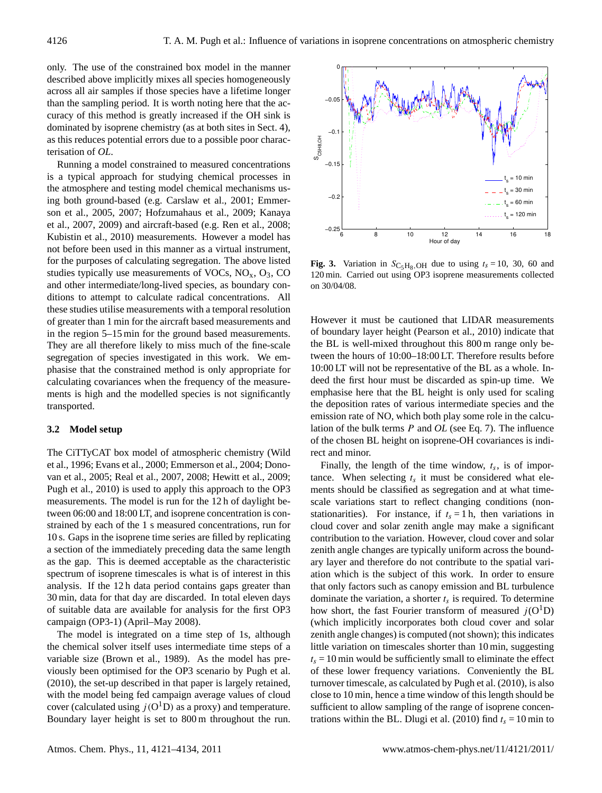only. The use of the constrained box model in the manner described above implicitly mixes all species homogeneously across all air samples if those species have a lifetime longer than the sampling period. It is worth noting here that the accuracy of this method is greatly increased if the OH sink is dominated by isoprene chemistry (as at both sites in Sect. [4\)](#page-6-0), as this reduces potential errors due to a possible poor characterisation of *OL*.

Running a model constrained to measured concentrations is a typical approach for studying chemical processes in the atmosphere and testing model chemical mechanisms using both ground-based (e.g. [Carslaw et al.,](#page-11-1) [2001;](#page-11-1) [Emmer](#page-11-4)[son et al.,](#page-11-4) [2005,](#page-11-4) [2007;](#page-11-5) [Hofzumahaus et al.,](#page-12-6) [2009;](#page-12-6) [Kanaya](#page-12-16) [et al.,](#page-12-16) [2007,](#page-12-16) [2009\)](#page-12-17) and aircraft-based (e.g. [Ren et al.,](#page-13-4) [2008;](#page-13-4) [Kubistin et al.,](#page-12-18) [2010\)](#page-12-18) measurements. However a model has not before been used in this manner as a virtual instrument, for the purposes of calculating segregation. The above listed studies typically use measurements of VOCs,  $NO<sub>x</sub>$ ,  $O<sub>3</sub>$ , CO and other intermediate/long-lived species, as boundary conditions to attempt to calculate radical concentrations. All these studies utilise measurements with a temporal resolution of greater than 1 min for the aircraft based measurements and in the region 5–15 min for the ground based measurements. They are all therefore likely to miss much of the fine-scale segregation of species investigated in this work. We emphasise that the constrained method is only appropriate for calculating covariances when the frequency of the measurements is high and the modelled species is not significantly transported.

## <span id="page-5-0"></span>**3.2 Model setup**

The CiTTyCAT box model of atmospheric chemistry [\(Wild](#page-13-16) [et al.,](#page-13-16) [1996;](#page-13-16) [Evans et al.,](#page-11-6) [2000;](#page-11-6) [Emmerson et al.,](#page-11-7) [2004;](#page-11-7) [Dono](#page-11-8)[van et al.,](#page-11-8) [2005;](#page-11-8) [Real et al.,](#page-13-17) [2007,](#page-13-17) [2008;](#page-13-18) [Hewitt et al.,](#page-12-14) [2009;](#page-12-14) [Pugh et al.,](#page-13-5) [2010\)](#page-13-5) is used to apply this approach to the OP3 measurements. The model is run for the 12 h of daylight between 06:00 and 18:00 LT, and isoprene concentration is constrained by each of the 1 s measured concentrations, run for 10 s. Gaps in the isoprene time series are filled by replicating a section of the immediately preceding data the same length as the gap. This is deemed acceptable as the characteristic spectrum of isoprene timescales is what is of interest in this analysis. If the 12 h data period contains gaps greater than 30 min, data for that day are discarded. In total eleven days of suitable data are available for analysis for the first OP3 campaign (OP3-1) (April–May 2008).

The model is integrated on a time step of 1s, although the chemical solver itself uses intermediate time steps of a variable size [\(Brown et al.,](#page-11-9) [1989\)](#page-11-9). As the model has previously been optimised for the OP3 scenario by [Pugh et al.](#page-13-5) [\(2010\)](#page-13-5), the set-up described in that paper is largely retained, with the model being fed campaign average values of cloud cover (calculated using  $j(O^1D)$  as a proxy) and temperature. Boundary layer height is set to 800 m throughout the run.



<span id="page-5-1"></span>**Fig. 3.** Variation in  $S_{C_5H_8,OH}$  due to using  $t_s = 10$ , 30, 60 and 120 min. Carried out using OP3 isoprene measurements collected on 30/04/08.

However it must be cautioned that LIDAR measurements of boundary layer height [\(Pearson et al.,](#page-13-19) [2010\)](#page-13-19) indicate that the BL is well-mixed throughout this 800 m range only between the hours of 10:00–18:00 LT. Therefore results before 10:00 LT will not be representative of the BL as a whole. Indeed the first hour must be discarded as spin-up time. We emphasise here that the BL height is only used for scaling the deposition rates of various intermediate species and the emission rate of NO, which both play some role in the calculation of the bulk terms P and *OL* (see Eq. [7\)](#page-4-1). The influence of the chosen BL height on isoprene-OH covariances is indirect and minor.

Finally, the length of the time window,  $t_s$ , is of importance. When selecting  $t_s$  it must be considered what elements should be classified as segregation and at what timescale variations start to reflect changing conditions (nonstationarities). For instance, if  $t_s = 1$  h, then variations in cloud cover and solar zenith angle may make a significant contribution to the variation. However, cloud cover and solar zenith angle changes are typically uniform across the boundary layer and therefore do not contribute to the spatial variation which is the subject of this work. In order to ensure that only factors such as canopy emission and BL turbulence dominate the variation, a shorter  $t_s$  is required. To determine how short, the fast Fourier transform of measured  $j(O^1D)$ (which implicitly incorporates both cloud cover and solar zenith angle changes) is computed (not shown); this indicates little variation on timescales shorter than 10 min, suggesting  $t_s = 10$  min would be sufficiently small to eliminate the effect of these lower frequency variations. Conveniently the BL turnover timescale, as calculated by [Pugh et al.](#page-13-5) [\(2010\)](#page-13-5), is also close to 10 min, hence a time window of this length should be sufficient to allow sampling of the range of isoprene concen-trations within the BL. [Dlugi et al.](#page-11-3) [\(2010\)](#page-11-3) find  $t_s = 10$  min to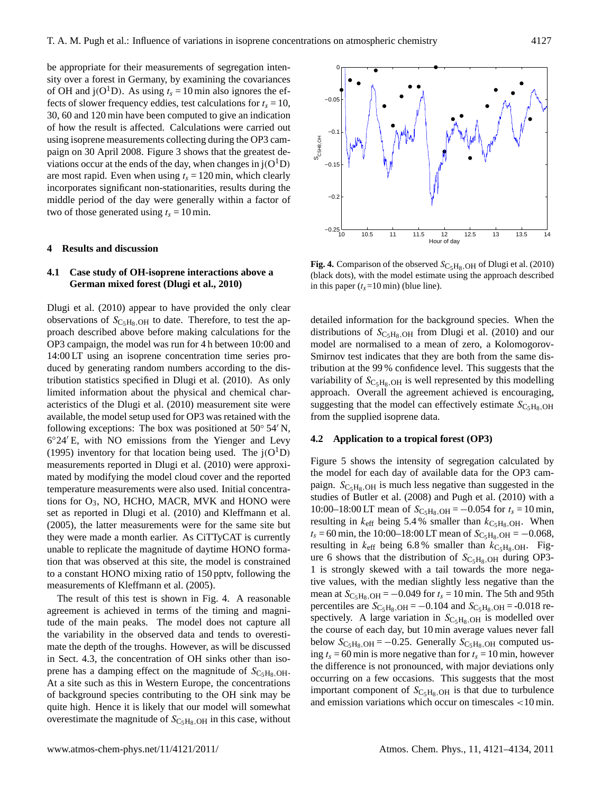be appropriate for their measurements of segregation intensity over a forest in Germany, by examining the covariances of OH and  $j(O<sup>1</sup>D)$ . As using  $t_s = 10$  min also ignores the effects of slower frequency eddies, test calculations for  $t_s = 10$ , 30, 60 and 120 min have been computed to give an indication of how the result is affected. Calculations were carried out using isoprene measurements collecting during the OP3 campaign on 30 April 2008. Figure [3](#page-5-1) shows that the greatest deviations occur at the ends of the day, when changes in  $j(O^1D)$ are most rapid. Even when using  $t_s = 120$  min, which clearly incorporates significant non-stationarities, results during the middle period of the day were generally within a factor of two of those generated using  $t_s = 10$  min.

## <span id="page-6-0"></span>**4 Results and discussion**

# **4.1 Case study of OH-isoprene interactions above a German mixed forest [\(Dlugi et al.,](#page-11-3) [2010\)](#page-11-3)**

[Dlugi et al.](#page-11-3) [\(2010\)](#page-11-3) appear to have provided the only clear observations of  $S_{C_5H_8,OH}$  to date. Therefore, to test the approach described above before making calculations for the OP3 campaign, the model was run for 4 h between 10:00 and 14:00 LT using an isoprene concentration time series produced by generating random numbers according to the distribution statistics specified in [Dlugi et al.](#page-11-3) [\(2010\)](#page-11-3). As only limited information about the physical and chemical characteristics of the [Dlugi et al.](#page-11-3) [\(2010\)](#page-11-3) measurement site were available, the model setup used for OP3 was retained with the following exceptions: The box was positioned at  $50^{\circ}$  54' N, 6°24' E, with NO emissions from the [Yienger and Levy](#page-13-20) [\(1995\)](#page-13-20) inventory for that location being used. The  $j(O<sup>1</sup>D)$ measurements reported in [Dlugi et al.](#page-11-3) [\(2010\)](#page-11-3) were approximated by modifying the model cloud cover and the reported temperature measurements were also used. Initial concentrations for  $O_3$ , NO, HCHO, MACR, MVK and HONO were set as reported in [Dlugi et al.](#page-11-3) [\(2010\)](#page-11-3) and [Kleffmann et al.](#page-12-19) [\(2005\)](#page-12-19), the latter measurements were for the same site but they were made a month earlier. As CiTTyCAT is currently unable to replicate the magnitude of daytime HONO formation that was observed at this site, the model is constrained to a constant HONO mixing ratio of 150 pptv, following the measurements of [Kleffmann et al.](#page-12-19) [\(2005\)](#page-12-19).

The result of this test is shown in Fig. [4.](#page-6-1) A reasonable agreement is achieved in terms of the timing and magnitude of the main peaks. The model does not capture all the variability in the observed data and tends to overestimate the depth of the troughs. However, as will be discussed in Sect. [4.3,](#page-8-0) the concentration of OH sinks other than isoprene has a damping effect on the magnitude of  $S_{\text{C}_5\text{H}_8,\text{OH}}$ . At a site such as this in Western Europe, the concentrations of background species contributing to the OH sink may be quite high. Hence it is likely that our model will somewhat overestimate the magnitude of  $S_{C_5H_8,OH}$  in this case, without



<span id="page-6-1"></span>**Fig. 4.** Comparison of the observed  $S_{C_5H_8,OH}$  of [Dlugi et al.](#page-11-3) [\(2010\)](#page-11-3) (black dots), with the model estimate using the approach described in this paper  $(t_s=10 \text{ min})$  (blue line).

detailed information for the background species. When the distributions of  $S_{\text{C}_5\text{H}_8,\text{OH}}$  from [Dlugi et al.](#page-11-3) [\(2010\)](#page-11-3) and our model are normalised to a mean of zero, a Kolomogorov-Smirnov test indicates that they are both from the same distribution at the 99 % confidence level. This suggests that the variability of  $S_{C_5H_8,OH}$  is well represented by this modelling approach. Overall the agreement achieved is encouraging, suggesting that the model can effectively estimate  $S_{\text{C}_5\text{H}_8,OH}$ from the supplied isoprene data.

# **4.2 Application to a tropical forest (OP3)**

Figure [5](#page-7-0) shows the intensity of segregation calculated by the model for each day of available data for the OP3 campaign.  $S_{\text{C}_5\text{H}_8, \text{OH}}$  is much less negative than suggested in the studies of [Butler et al.](#page-11-2) [\(2008\)](#page-11-2) and [Pugh et al.](#page-13-5) [\(2010\)](#page-13-5) with a 10:00–18:00 LT mean of  $S_{C_5H_8,OH} = -0.054$  for  $t_s = 10$  min, resulting in  $k_{\text{eff}}$  being 5.4% smaller than  $k_{\text{C}_5\text{H}_8,\text{OH}}$ . When  $t_s = 60$  min, the 10:00–18:00 LT mean of  $S_{C_5H_8,OH} = -0.068$ , resulting in  $k_{\text{eff}}$  being 6.8% smaller than  $k_{\text{C}_5\text{H}_8,\text{OH}}$ . Fig-ure [6](#page-8-1) shows that the distribution of  $S_{C_5H_8,OH}$  during OP3-1 is strongly skewed with a tail towards the more negative values, with the median slightly less negative than the mean at  $S_{C_5H_8,OH} = -0.049$  for  $t_s = 10$  min. The 5th and 95th percentiles are  $S_{C_5H_8,OH} = -0.104$  and  $S_{C_5H_8,OH} = -0.018$  respectively. A large variation in  $S_{C_5H_8,OH}$  is modelled over the course of each day, but 10 min average values never fall below  $S_{\text{C}_5\text{H}_8,\text{OH}} = -0.25$ . Generally  $S_{\text{C}_5\text{H}_8,\text{OH}}$  computed using  $t_s = 60$  min is more negative than for  $t_s = 10$  min, however the difference is not pronounced, with major deviations only occurring on a few occasions. This suggests that the most important component of  $S_{\text{C}_5\text{H}_8,\text{OH}}$  is that due to turbulence and emission variations which occur on timescales <10 min.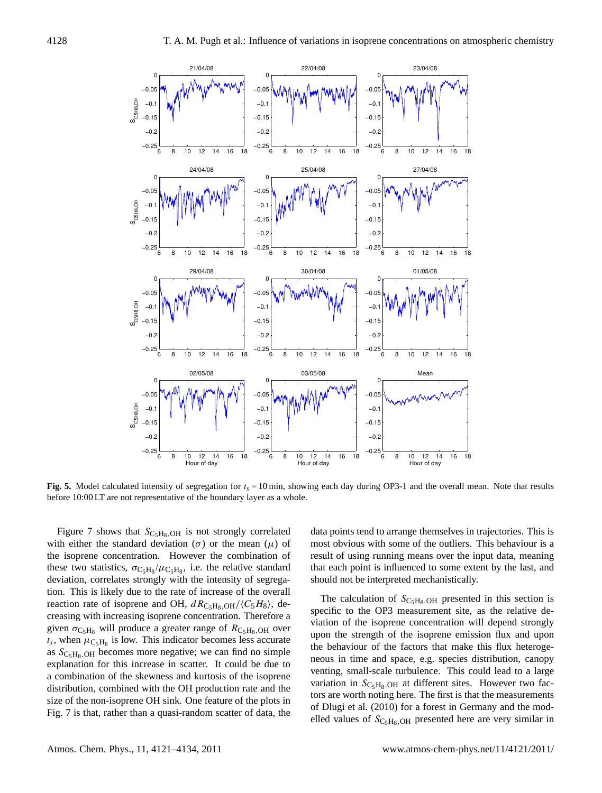

<span id="page-7-0"></span>**Fig. 5.** Model calculated intensity of segregation for  $t_s = 10$  min, showing each day during OP3-1 and the overall mean. Note that results before 10:00 LT are not representative of the boundary layer as a whole.

Figure [7](#page-9-0) shows that  $S_{C_5H_8,OH}$  is not strongly correlated with either the standard deviation ( $\sigma$ ) or the mean ( $\mu$ ) of the isoprene concentration. However the combination of these two statistics,  $\sigma_{\text{C}_5\text{H}_8}/\mu_{\text{C}_5\text{H}_8}$ , i.e. the relative standard deviation, correlates strongly with the intensity of segregation. This is likely due to the rate of increase of the overall reaction rate of isoprene and OH,  $dR_{\text{C}_5\text{H}_8, \text{OH}}/(C_5H_8)$ , decreasing with increasing isoprene concentration. Therefore a given  $\sigma_{C_5H_8}$  will produce a greater range of  $R_{C_5H_8,OH}$  over  $t_s$ , when  $\mu_{\text{C}_5\text{H}_8}$  is low. This indicator becomes less accurate as  $S_{\text{C}_5\text{H}_8, \text{OH}}$  becomes more negative; we can find no simple explanation for this increase in scatter. It could be due to a combination of the skewness and kurtosis of the isoprene distribution, combined with the OH production rate and the size of the non-isoprene OH sink. One feature of the plots in Fig. [7](#page-9-0) is that, rather than a quasi-random scatter of data, the

data points tend to arrange themselves in trajectories. This is most obvious with some of the outliers. This behaviour is a result of using running means over the input data, meaning that each point is influenced to some extent by the last, and should not be interpreted mechanistically.

The calculation of  $S_{C<sub>5</sub>H<sub>8</sub>,OH}$  presented in this section is specific to the OP3 measurement site, as the relative deviation of the isoprene concentration will depend strongly upon the strength of the isoprene emission flux and upon the behaviour of the factors that make this flux heterogeneous in time and space, e.g. species distribution, canopy venting, small-scale turbulence. This could lead to a large variation in  $S_{C_5H_8,OH}$  at different sites. However two factors are worth noting here. The first is that the measurements of [Dlugi et al.](#page-11-3) [\(2010\)](#page-11-3) for a forest in Germany and the modelled values of  $S_{C_5H_8,OH}$  presented here are very similar in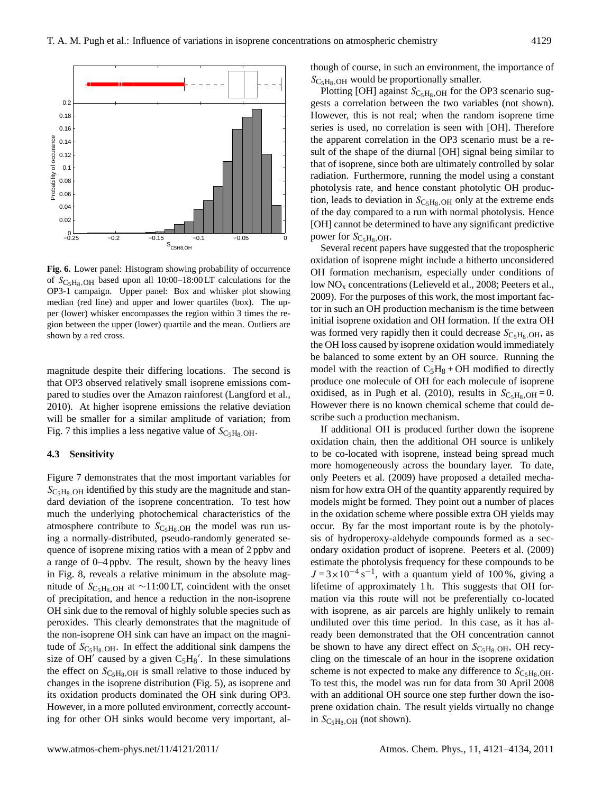

<span id="page-8-1"></span>**Fig. 6.** Lower panel: Histogram showing probability of occurrence of  $S_{\text{C}_5\text{H}_8,\text{OH}}$  based upon all 10:00-18:00 LT calculations for the OP3-1 campaign. Upper panel: Box and whisker plot showing median (red line) and upper and lower quartiles (box). The upper (lower) whisker encompasses the region within 3 times the region between the upper (lower) quartile and the mean. Outliers are shown by a red cross.

magnitude despite their differing locations. The second is that OP3 observed relatively small isoprene emissions compared to studies over the Amazon rainforest [\(Langford et al.,](#page-12-10) [2010\)](#page-12-10). At higher isoprene emissions the relative deviation will be smaller for a similar amplitude of variation; from Fig. [7](#page-9-0) this implies a less negative value of  $S_{\text{C}_5\text{H}_8,\text{OH}}$ .

## <span id="page-8-0"></span>**4.3 Sensitivity**

Figure [7](#page-9-0) demonstrates that the most important variables for  $S_{\text{C}_5\text{H}_8,\text{OH}}$  identified by this study are the magnitude and standard deviation of the isoprene concentration. To test how much the underlying photochemical characteristics of the atmosphere contribute to  $S_{C_5H_8,OH}$  the model was run using a normally-distributed, pseudo-randomly generated sequence of isoprene mixing ratios with a mean of 2 ppbv and a range of 0–4 ppbv. The result, shown by the heavy lines in Fig. [8,](#page-9-1) reveals a relative minimum in the absolute magnitude of  $S_{C_5H_8,OH}$  at ∼11:00 LT, coincident with the onset of precipitation, and hence a reduction in the non-isoprene OH sink due to the removal of highly soluble species such as peroxides. This clearly demonstrates that the magnitude of the non-isoprene OH sink can have an impact on the magnitude of  $S_{\text{C}_5\text{H}_8,\text{OH}}$ . In effect the additional sink dampens the size of OH' caused by a given  $C_5H_8'$ . In these simulations the effect on  $S_{C_5H_8,OH}$  is small relative to those induced by changes in the isoprene distribution (Fig. [5\)](#page-7-0), as isoprene and its oxidation products dominated the OH sink during OP3. However, in a more polluted environment, correctly accounting for other OH sinks would become very important, although of course, in such an environment, the importance of  $S_{\text{C}_5\text{H}_8, \text{OH}}$  would be proportionally smaller.

Plotting [OH] against  $S_{C_5H_8,OH}$  for the OP3 scenario suggests a correlation between the two variables (not shown). However, this is not real; when the random isoprene time series is used, no correlation is seen with [OH]. Therefore the apparent correlation in the OP3 scenario must be a result of the shape of the diurnal [OH] signal being similar to that of isoprene, since both are ultimately controlled by solar radiation. Furthermore, running the model using a constant photolysis rate, and hence constant photolytic OH production, leads to deviation in  $S_{C_5H_8,OH}$  only at the extreme ends of the day compared to a run with normal photolysis. Hence [OH] cannot be determined to have any significant predictive power for  $S_{C_5H_8,OH}$ .

Several recent papers have suggested that the tropospheric oxidation of isoprene might include a hitherto unconsidered OH formation mechanism, especially under conditions of low NO<sup>x</sup> concentrations [\(Lelieveld et al.,](#page-12-4) [2008;](#page-12-4) [Peeters et al.,](#page-13-6) [2009\)](#page-13-6). For the purposes of this work, the most important factor in such an OH production mechanism is the time between initial isoprene oxidation and OH formation. If the extra OH was formed very rapidly then it could decrease  $S_{\text{C}_5\text{H}_8,\text{OH}}$ , as the OH loss caused by isoprene oxidation would immediately be balanced to some extent by an OH source. Running the model with the reaction of  $C_5H_8 + OH$  modified to directly produce one molecule of OH for each molecule of isoprene oxidised, as in [Pugh et al.](#page-13-5) [\(2010\)](#page-13-5), results in  $S_{\text{C}_5\text{H}_8,\text{OH}} = 0$ . However there is no known chemical scheme that could describe such a production mechanism.

If additional OH is produced further down the isoprene oxidation chain, then the additional OH source is unlikely to be co-located with isoprene, instead being spread much more homogeneously across the boundary layer. To date, only [Peeters et al.](#page-13-6) [\(2009\)](#page-13-6) have proposed a detailed mechanism for how extra OH of the quantity apparently required by models might be formed. They point out a number of places in the oxidation scheme where possible extra OH yields may occur. By far the most important route is by the photolysis of hydroperoxy-aldehyde compounds formed as a secondary oxidation product of isoprene. [Peeters et al.](#page-13-6) [\(2009\)](#page-13-6) estimate the photolysis frequency for these compounds to be  $J = 3 \times 10^{-4}$  s<sup>-1</sup>, with a quantum yield of 100%, giving a lifetime of approximately 1 h. This suggests that OH formation via this route will not be preferentially co-located with isoprene, as air parcels are highly unlikely to remain undiluted over this time period. In this case, as it has already been demonstrated that the OH concentration cannot be shown to have any direct effect on  $S_{C_5H_8,OH}$ , OH recycling on the timescale of an hour in the isoprene oxidation scheme is not expected to make any difference to  $S_{C_5H_8,OH}$ . To test this, the model was run for data from 30 April 2008 with an additional OH source one step further down the isoprene oxidation chain. The result yields virtually no change in  $S_{\text{C}_5\text{H}_8,\text{OH}}$  (not shown).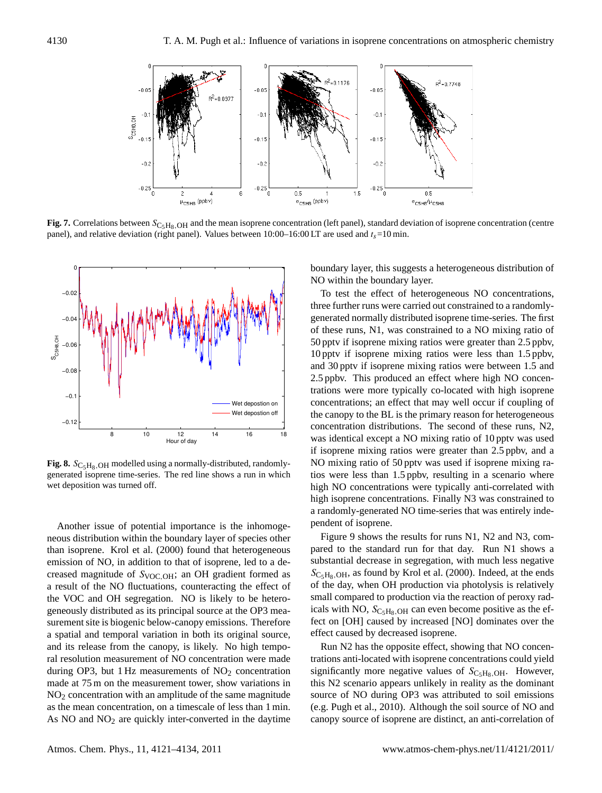

<span id="page-9-0"></span>**Fig. 7.** Correlations between  $S_{\text{C}_2\text{H}_8,\text{OH}}$  and the mean isoprene concentration (left panel), standard deviation of isoprene concentration (centre panel), and relative deviation (right panel). Values between 10:00–16:00 LT are used and  $t_s$ =10 min.



<span id="page-9-1"></span>**Fig. 8.**  $S_{C_5H_8,OH}$  modelled using a normally-distributed, randomlygenerated isoprene time-series. The red line shows a run in which wet deposition was turned off.

Another issue of potential importance is the inhomogeneous distribution within the boundary layer of species other than isoprene. [Krol et al.](#page-12-7) [\(2000\)](#page-12-7) found that heterogeneous emission of NO, in addition to that of isoprene, led to a decreased magnitude of  $S<sub>VOC,OH</sub>$ ; an OH gradient formed as a result of the NO fluctuations, counteracting the effect of the VOC and OH segregation. NO is likely to be heterogeneously distributed as its principal source at the OP3 measurement site is biogenic below-canopy emissions. Therefore a spatial and temporal variation in both its original source, and its release from the canopy, is likely. No high temporal resolution measurement of NO concentration were made during OP3, but 1 Hz measurements of  $NO<sub>2</sub>$  concentration made at 75 m on the measurement tower, show variations in  $NO<sub>2</sub>$  concentration with an amplitude of the same magnitude as the mean concentration, on a timescale of less than 1 min. As NO and  $NO<sub>2</sub>$  are quickly inter-converted in the daytime boundary layer, this suggests a heterogeneous distribution of NO within the boundary layer.

To test the effect of heterogeneous NO concentrations, three further runs were carried out constrained to a randomlygenerated normally distributed isoprene time-series. The first of these runs, N1, was constrained to a NO mixing ratio of 50 pptv if isoprene mixing ratios were greater than 2.5 ppbv, 10 pptv if isoprene mixing ratios were less than 1.5 ppbv, and 30 pptv if isoprene mixing ratios were between 1.5 and 2.5 ppbv. This produced an effect where high NO concentrations were more typically co-located with high isoprene concentrations; an effect that may well occur if coupling of the canopy to the BL is the primary reason for heterogeneous concentration distributions. The second of these runs, N2, was identical except a NO mixing ratio of 10 pptv was used if isoprene mixing ratios were greater than 2.5 ppbv, and a NO mixing ratio of 50 pptv was used if isoprene mixing ratios were less than 1.5 ppbv, resulting in a scenario where high NO concentrations were typically anti-correlated with high isoprene concentrations. Finally N3 was constrained to a randomly-generated NO time-series that was entirely independent of isoprene.

Figure [9](#page-10-0) shows the results for runs N1, N2 and N3, compared to the standard run for that day. Run N1 shows a substantial decrease in segregation, with much less negative  $S_{\text{C}_5\text{H}_8, \text{OH}}$ , as found by [Krol et al.](#page-12-7) [\(2000\)](#page-12-7). Indeed, at the ends of the day, when OH production via photolysis is relatively small compared to production via the reaction of peroxy radicals with NO,  $S_{\text{C}_5\text{H}_8, \text{OH}}$  can even become positive as the effect on [OH] caused by increased [NO] dominates over the effect caused by decreased isoprene.

Run N2 has the opposite effect, showing that NO concentrations anti-located with isoprene concentrations could yield significantly more negative values of  $S_{C_5H_8,OH}$ . However, this N2 scenario appears unlikely in reality as the dominant source of NO during OP3 was attributed to soil emissions (e.g. [Pugh et al.,](#page-13-5) [2010\)](#page-13-5). Although the soil source of NO and canopy source of isoprene are distinct, an anti-correlation of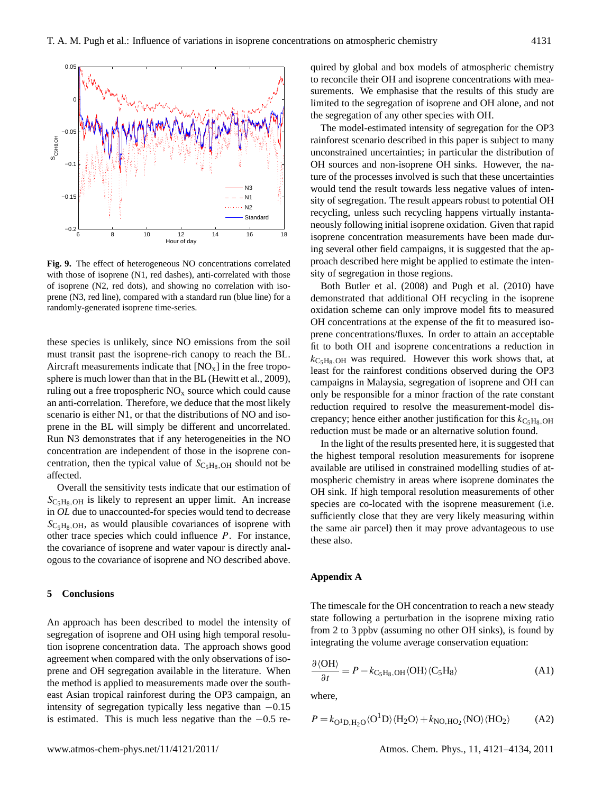

<span id="page-10-0"></span>**Fig. 9.** The effect of heterogeneous NO concentrations correlated with those of isoprene (N1, red dashes), anti-correlated with those of isoprene (N2, red dots), and showing no correlation with isoprene (N3, red line), compared with a standard run (blue line) for a randomly-generated isoprene time-series.

these species is unlikely, since NO emissions from the soil must transit past the isoprene-rich canopy to reach the BL. Aircraft measurements indicate that  $[NO<sub>x</sub>]$  in the free troposphere is much lower than that in the BL [\(Hewitt et al.,](#page-12-14) [2009\)](#page-12-14), ruling out a free tropospheric  $NO<sub>x</sub>$  source which could cause an anti-correlation. Therefore, we deduce that the most likely scenario is either N1, or that the distributions of NO and isoprene in the BL will simply be different and uncorrelated. Run N3 demonstrates that if any heterogeneities in the NO concentration are independent of those in the isoprene concentration, then the typical value of  $S_{C_5H_8,OH}$  should not be affected.

Overall the sensitivity tests indicate that our estimation of  $S_{\text{C}_5\text{H}_8,\text{OH}}$  is likely to represent an upper limit. An increase in *OL* due to unaccounted-for species would tend to decrease  $S_{\text{C}_5\text{H}_8, \text{OH}}$ , as would plausible covariances of isoprene with other trace species which could influence P. For instance, the covariance of isoprene and water vapour is directly analogous to the covariance of isoprene and NO described above.

## **5 Conclusions**

An approach has been described to model the intensity of segregation of isoprene and OH using high temporal resolution isoprene concentration data. The approach shows good agreement when compared with the only observations of isoprene and OH segregation available in the literature. When the method is applied to measurements made over the southeast Asian tropical rainforest during the OP3 campaign, an intensity of segregation typically less negative than −0.15 is estimated. This is much less negative than the −0.5 required by global and box models of atmospheric chemistry to reconcile their OH and isoprene concentrations with measurements. We emphasise that the results of this study are limited to the segregation of isoprene and OH alone, and not the segregation of any other species with OH.

The model-estimated intensity of segregation for the OP3 rainforest scenario described in this paper is subject to many unconstrained uncertainties; in particular the distribution of OH sources and non-isoprene OH sinks. However, the nature of the processes involved is such that these uncertainties would tend the result towards less negative values of intensity of segregation. The result appears robust to potential OH recycling, unless such recycling happens virtually instantaneously following initial isoprene oxidation. Given that rapid isoprene concentration measurements have been made during several other field campaigns, it is suggested that the approach described here might be applied to estimate the intensity of segregation in those regions.

Both [Butler et al.](#page-11-2) [\(2008\)](#page-11-2) and [Pugh et al.](#page-13-5) [\(2010\)](#page-13-5) have demonstrated that additional OH recycling in the isoprene oxidation scheme can only improve model fits to measured OH concentrations at the expense of the fit to measured isoprene concentrations/fluxes. In order to attain an acceptable fit to both OH and isoprene concentrations a reduction in  $k_{\text{C}_5\text{H}_8,\text{OH}}$  was required. However this work shows that, at least for the rainforest conditions observed during the OP3 campaigns in Malaysia, segregation of isoprene and OH can only be responsible for a minor fraction of the rate constant reduction required to resolve the measurement-model discrepancy; hence either another justification for this  $k_{\text{C}_5\text{H}_8,OH}$ reduction must be made or an alternative solution found.

In the light of the results presented here, it is suggested that the highest temporal resolution measurements for isoprene available are utilised in constrained modelling studies of atmospheric chemistry in areas where isoprene dominates the OH sink. If high temporal resolution measurements of other species are co-located with the isoprene measurement (i.e. sufficiently close that they are very likely measuring within the same air parcel) then it may prove advantageous to use these also.

## **Appendix A**

The timescale for the OH concentration to reach a new steady state following a perturbation in the isoprene mixing ratio from 2 to 3 ppbv (assuming no other OH sinks), is found by integrating the volume average conservation equation:

$$
\frac{\partial \langle \text{OH} \rangle}{\partial t} = P - k_{\text{C}_5\text{H}_8, \text{OH}} \langle \text{OH} \rangle \langle \text{C}_5\text{H}_8 \rangle \tag{A1}
$$

where,

<span id="page-10-1"></span>
$$
P = k_{\text{O}^1\text{D},\text{H}_2\text{O}} \langle \text{O}^1\text{D} \rangle \langle \text{H}_2\text{O} \rangle + k_{\text{NO},\text{HO}_2} \langle \text{NO} \rangle \langle \text{HO}_2 \rangle \tag{A2}
$$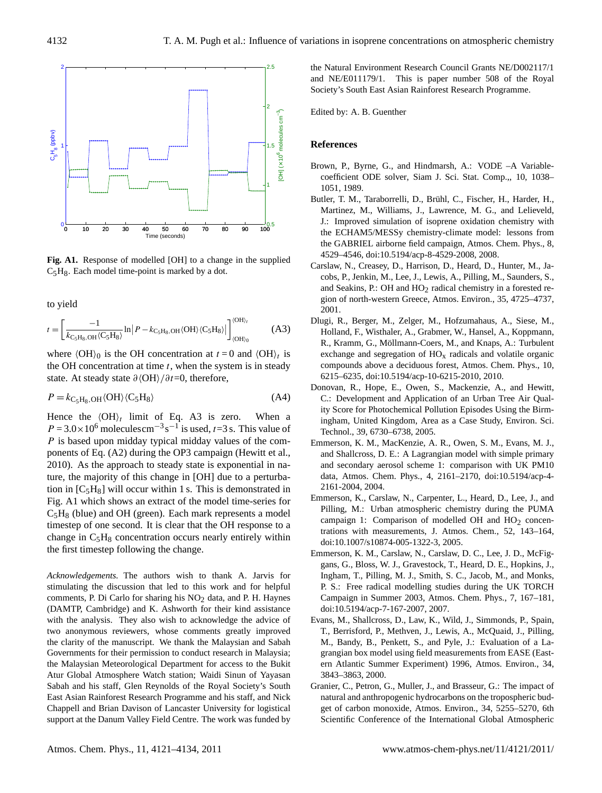

<span id="page-11-11"></span>**Fig. A1.** Response of modelled [OH] to a change in the supplied  $C_5H_8$ . Each model time-point is marked by a dot.

to yield

<span id="page-11-10"></span>
$$
t = \left[\frac{-1}{k_{\text{C}_5\text{H}_8,\text{OH}}\langle\text{C}_5\text{H}_8\rangle}\ln\left|P - k_{\text{C}_5\text{H}_8,\text{OH}}\langle\text{OH}\rangle\langle\text{C}_5\text{H}_8\rangle\right|\right]_{\langle\text{OH}\rangle_0}^{\langle\text{OH}\rangle_t}
$$
(A3)

where  $\langle \text{OH} \rangle_0$  is the OH concentration at  $t = 0$  and  $\langle \text{OH} \rangle_t$  is the OH concentration at time  $t$ , when the system is in steady state. At steady state  $\partial \langle OH \rangle / \partial t = 0$ , therefore,

$$
P = k_{\text{C}_5\text{H}_8, \text{OH}} \langle \text{OH} \rangle \langle \text{C}_5\text{H}_8 \rangle \tag{A4}
$$

Hence the  $\langle OH\rangle_t$  limit of Eq. [A3](#page-11-10) is zero. When a  $P = 3.0 \times 10^6$  moleculescm<sup>-3</sup>s<sup>-1</sup> is used,  $t=3$  s. This value of P is based upon midday typical midday values of the components of Eq. [\(A2\)](#page-10-1) during the OP3 campaign [\(Hewitt et al.,](#page-12-11) [2010\)](#page-12-11). As the approach to steady state is exponential in nature, the majority of this change in [OH] due to a perturbation in  $[C_5H_8]$  will occur within 1 s. This is demonstrated in Fig. [A1](#page-11-11) which shows an extract of the model time-series for  $C_5H_8$  (blue) and OH (green). Each mark represents a model timestep of one second. It is clear that the OH response to a change in  $C_5H_8$  concentration occurs nearly entirely within the first timestep following the change.

*Acknowledgements.* The authors wish to thank A. Jarvis for stimulating the discussion that led to this work and for helpful comments, P. Di Carlo for sharing his  $NO<sub>2</sub>$  data, and P. H. Haynes (DAMTP, Cambridge) and K. Ashworth for their kind assistance with the analysis. They also wish to acknowledge the advice of two anonymous reviewers, whose comments greatly improved the clarity of the manuscript. We thank the Malaysian and Sabah Governments for their permission to conduct research in Malaysia; the Malaysian Meteorological Department for access to the Bukit Atur Global Atmosphere Watch station; Waidi Sinun of Yayasan Sabah and his staff, Glen Reynolds of the Royal Society's South East Asian Rainforest Research Programme and his staff, and Nick Chappell and Brian Davison of Lancaster University for logistical support at the Danum Valley Field Centre. The work was funded by the Natural Environment Research Council Grants NE/D002117/1 and NE/E011179/1. This is paper number 508 of the Royal Society's South East Asian Rainforest Research Programme.

Edited by: A. B. Guenther

## **References**

- <span id="page-11-9"></span>Brown, P., Byrne, G., and Hindmarsh, A.: VODE –A Variablecoefficient ODE solver, Siam J. Sci. Stat. Comp.,, 10, 1038– 1051, 1989.
- <span id="page-11-2"></span>Butler, T. M., Taraborrelli, D., Brühl, C., Fischer, H., Harder, H., Martinez, M., Williams, J., Lawrence, M. G., and Lelieveld, J.: Improved simulation of isoprene oxidation chemistry with the ECHAM5/MESSy chemistry-climate model: lessons from the GABRIEL airborne field campaign, Atmos. Chem. Phys., 8, 4529–4546, [doi:10.5194/acp-8-4529-2008,](http://dx.doi.org/10.5194/acp-8-4529-2008) 2008.
- <span id="page-11-1"></span>Carslaw, N., Creasey, D., Harrison, D., Heard, D., Hunter, M., Jacobs, P., Jenkin, M., Lee, J., Lewis, A., Pilling, M., Saunders, S., and Seakins, P.: OH and  $HO<sub>2</sub>$  radical chemistry in a forested region of north-western Greece, Atmos. Environ., 35, 4725–4737, 2001.
- <span id="page-11-3"></span>Dlugi, R., Berger, M., Zelger, M., Hofzumahaus, A., Siese, M., Holland, F., Wisthaler, A., Grabmer, W., Hansel, A., Koppmann, R., Kramm, G., Möllmann-Coers, M., and Knaps, A.: Turbulent exchange and segregation of  $HO<sub>x</sub>$  radicals and volatile organic compounds above a deciduous forest, Atmos. Chem. Phys., 10, 6215–6235, [doi:10.5194/acp-10-6215-2010,](http://dx.doi.org/10.5194/acp-10-6215-2010) 2010.
- <span id="page-11-8"></span>Donovan, R., Hope, E., Owen, S., Mackenzie, A., and Hewitt, C.: Development and Application of an Urban Tree Air Quality Score for Photochemical Pollution Episodes Using the Birmingham, United Kingdom, Area as a Case Study, Environ. Sci. Technol., 39, 6730–6738, 2005.
- <span id="page-11-7"></span>Emmerson, K. M., MacKenzie, A. R., Owen, S. M., Evans, M. J., and Shallcross, D. E.: A Lagrangian model with simple primary and secondary aerosol scheme 1: comparison with UK PM10 data, Atmos. Chem. Phys., 4, 2161–2170, [doi:10.5194/acp-4-](http://dx.doi.org/10.5194/acp-4-2161-2004) [2161-2004,](http://dx.doi.org/10.5194/acp-4-2161-2004) 2004.
- <span id="page-11-4"></span>Emmerson, K., Carslaw, N., Carpenter, L., Heard, D., Lee, J., and Pilling, M.: Urban atmospheric chemistry during the PUMA campaign 1: Comparison of modelled OH and  $HO<sub>2</sub>$  concentrations with measurements, J. Atmos. Chem., 52, 143–164, [doi:10.1007/s10874-005-1322-3,](http://dx.doi.org/10.1007/s10874-005-1322-3) 2005.
- <span id="page-11-5"></span>Emmerson, K. M., Carslaw, N., Carslaw, D. C., Lee, J. D., McFiggans, G., Bloss, W. J., Gravestock, T., Heard, D. E., Hopkins, J., Ingham, T., Pilling, M. J., Smith, S. C., Jacob, M., and Monks, P. S.: Free radical modelling studies during the UK TORCH Campaign in Summer 2003, Atmos. Chem. Phys., 7, 167–181, [doi:10.5194/acp-7-167-2007,](http://dx.doi.org/10.5194/acp-7-167-2007) 2007.
- <span id="page-11-6"></span>Evans, M., Shallcross, D., Law, K., Wild, J., Simmonds, P., Spain, T., Berrisford, P., Methven, J., Lewis, A., McQuaid, J., Pilling, M., Bandy, B., Penkett, S., and Pyle, J.: Evaluation of a Lagrangian box model using field measurements from EASE (Eastern Atlantic Summer Experiment) 1996, Atmos. Environ., 34, 3843–3863, 2000.
- <span id="page-11-0"></span>Granier, C., Petron, G., Muller, J., and Brasseur, G.: The impact of natural and anthropogenic hydrocarbons on the tropospheric budget of carbon monoxide, Atmos. Environ., 34, 5255–5270, 6th Scientific Conference of the International Global Atmospheric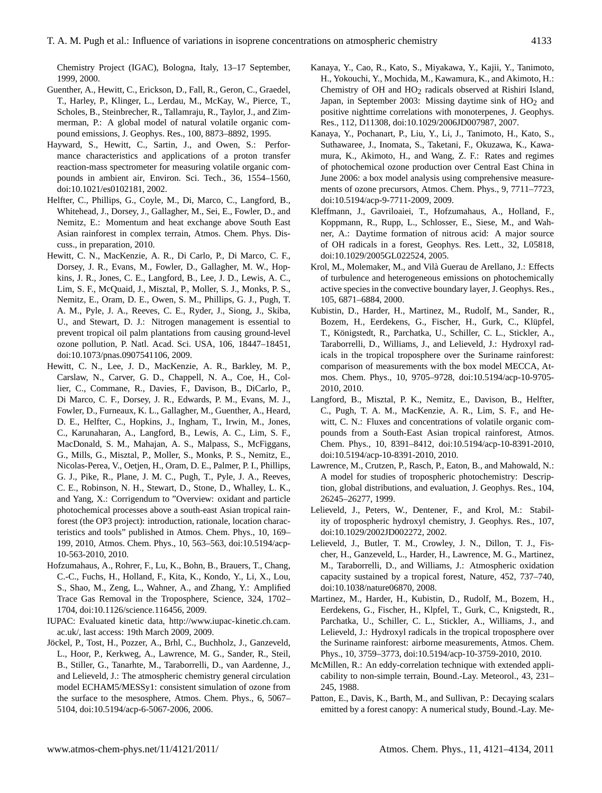Chemistry Project (IGAC), Bologna, Italy, 13–17 September, 1999, 2000.

- <span id="page-12-0"></span>Guenther, A., Hewitt, C., Erickson, D., Fall, R., Geron, C., Graedel, T., Harley, P., Klinger, L., Lerdau, M., McKay, W., Pierce, T., Scholes, B., Steinbrecher, R., Tallamraju, R., Taylor, J., and Zimmerman, P.: A global model of natural volatile organic compound emissions, J. Geophys. Res., 100, 8873–8892, 1995.
- <span id="page-12-13"></span>Hayward, S., Hewitt, C., Sartin, J., and Owen, S.: Performance characteristics and applications of a proton transfer reaction-mass spectrometer for measuring volatile organic compounds in ambient air, Environ. Sci. Tech., 36, 1554–1560, [doi:10.1021/es0102181,](http://dx.doi.org/10.1021/es0102181) 2002.
- <span id="page-12-12"></span>Helfter, C., Phillips, G., Coyle, M., Di, Marco, C., Langford, B., Whitehead, J., Dorsey, J., Gallagher, M., Sei, E., Fowler, D., and Nemitz, E.: Momentum and heat exchange above South East Asian rainforest in complex terrain, Atmos. Chem. Phys. Discuss., in preparation, 2010.
- <span id="page-12-14"></span>Hewitt, C. N., MacKenzie, A. R., Di Carlo, P., Di Marco, C. F., Dorsey, J. R., Evans, M., Fowler, D., Gallagher, M. W., Hopkins, J. R., Jones, C. E., Langford, B., Lee, J. D., Lewis, A. C., Lim, S. F., McQuaid, J., Misztal, P., Moller, S. J., Monks, P. S., Nemitz, E., Oram, D. E., Owen, S. M., Phillips, G. J., Pugh, T. A. M., Pyle, J. A., Reeves, C. E., Ryder, J., Siong, J., Skiba, U., and Stewart, D. J.: Nitrogen management is essential to prevent tropical oil palm plantations from causing ground-level ozone pollution, P. Natl. Acad. Sci. USA, 106, 18447–18451, [doi:10.1073/pnas.0907541106,](http://dx.doi.org/10.1073/pnas.0907541106) 2009.
- <span id="page-12-11"></span>Hewitt, C. N., Lee, J. D., MacKenzie, A. R., Barkley, M. P., Carslaw, N., Carver, G. D., Chappell, N. A., Coe, H., Collier, C., Commane, R., Davies, F., Davison, B., DiCarlo, P., Di Marco, C. F., Dorsey, J. R., Edwards, P. M., Evans, M. J., Fowler, D., Furneaux, K. L., Gallagher, M., Guenther, A., Heard, D. E., Helfter, C., Hopkins, J., Ingham, T., Irwin, M., Jones, C., Karunaharan, A., Langford, B., Lewis, A. C., Lim, S. F., MacDonald, S. M., Mahajan, A. S., Malpass, S., McFiggans, G., Mills, G., Misztal, P., Moller, S., Monks, P. S., Nemitz, E., Nicolas-Perea, V., Oetjen, H., Oram, D. E., Palmer, P. I., Phillips, G. J., Pike, R., Plane, J. M. C., Pugh, T., Pyle, J. A., Reeves, C. E., Robinson, N. H., Stewart, D., Stone, D., Whalley, L. K., and Yang, X.: Corrigendum to "Overview: oxidant and particle photochemical processes above a south-east Asian tropical rainforest (the OP3 project): introduction, rationale, location characteristics and tools" published in Atmos. Chem. Phys., 10, 169– 199, 2010, Atmos. Chem. Phys., 10, 563–563, [doi:10.5194/acp-](http://dx.doi.org/10.5194/acp-10-563-2010)[10-563-2010,](http://dx.doi.org/10.5194/acp-10-563-2010) 2010.
- <span id="page-12-6"></span>Hofzumahaus, A., Rohrer, F., Lu, K., Bohn, B., Brauers, T., Chang, C.-C., Fuchs, H., Holland, F., Kita, K., Kondo, Y., Li, X., Lou, S., Shao, M., Zeng, L., Wahner, A., and Zhang, Y.: Amplified Trace Gas Removal in the Troposphere, Science, 324, 1702– 1704, [doi:10.1126/science.116456,](http://dx.doi.org/10.1126/science.116456) 2009.
- <span id="page-12-9"></span>IUPAC: Evaluated kinetic data, [http://www.iupac-kinetic.ch.cam.](http://www.iupac-kinetic.ch.cam.ac.uk/) [ac.uk/,](http://www.iupac-kinetic.ch.cam.ac.uk/) last access: 19th March 2009, 2009.
- <span id="page-12-3"></span>Jockel, P., Tost, H., Pozzer, A., Brhl, C., Buchholz, J., Ganzeveld, ¨ L., Hoor, P., Kerkweg, A., Lawrence, M. G., Sander, R., Steil, B., Stiller, G., Tanarhte, M., Taraborrelli, D., van Aardenne, J., and Lelieveld, J.: The atmospheric chemistry general circulation model ECHAM5/MESSy1: consistent simulation of ozone from the surface to the mesosphere, Atmos. Chem. Phys., 6, 5067– 5104, [doi:10.5194/acp-6-5067-2006,](http://dx.doi.org/10.5194/acp-6-5067-2006) 2006.
- <span id="page-12-16"></span>Kanaya, Y., Cao, R., Kato, S., Miyakawa, Y., Kajii, Y., Tanimoto, H., Yokouchi, Y., Mochida, M., Kawamura, K., and Akimoto, H.: Chemistry of OH and  $HO<sub>2</sub>$  radicals observed at Rishiri Island, Japan, in September 2003: Missing daytime sink of  $HO<sub>2</sub>$  and positive nighttime correlations with monoterpenes, J. Geophys. Res., 112, D11308, [doi:10.1029/2006JD007987,](http://dx.doi.org/10.1029/2006JD007987) 2007.
- <span id="page-12-17"></span>Kanaya, Y., Pochanart, P., Liu, Y., Li, J., Tanimoto, H., Kato, S., Suthawaree, J., Inomata, S., Taketani, F., Okuzawa, K., Kawamura, K., Akimoto, H., and Wang, Z. F.: Rates and regimes of photochemical ozone production over Central East China in June 2006: a box model analysis using comprehensive measurements of ozone precursors, Atmos. Chem. Phys., 9, 7711–7723, [doi:10.5194/acp-9-7711-2009,](http://dx.doi.org/10.5194/acp-9-7711-2009) 2009.
- <span id="page-12-19"></span>Kleffmann, J., Gavriloaiei, T., Hofzumahaus, A., Holland, F., Koppmann, R., Rupp, L., Schlosser, E., Siese, M., and Wahner, A.: Daytime formation of nitrous acid: A major source of OH radicals in a forest, Geophys. Res. Lett., 32, L05818, [doi:10.1029/2005GL022524,](http://dx.doi.org/10.1029/2005GL022524) 2005.
- <span id="page-12-7"></span>Krol, M., Molemaker, M., and Vila Guerau de Arellano, J.: Effects ` of turbulence and heterogeneous emissions on photochemically active species in the convective boundary layer, J. Geophys. Res., 105, 6871–6884, 2000.
- <span id="page-12-18"></span>Kubistin, D., Harder, H., Martinez, M., Rudolf, M., Sander, R., Bozem, H., Eerdekens, G., Fischer, H., Gurk, C., Klüpfel, T., Königstedt, R., Parchatka, U., Schiller, C. L., Stickler, A., Taraborrelli, D., Williams, J., and Lelieveld, J.: Hydroxyl radicals in the tropical troposphere over the Suriname rainforest: comparison of measurements with the box model MECCA, Atmos. Chem. Phys., 10, 9705–9728, [doi:10.5194/acp-10-9705-](http://dx.doi.org/10.5194/acp-10-9705-2010) [2010,](http://dx.doi.org/10.5194/acp-10-9705-2010) 2010.
- <span id="page-12-10"></span>Langford, B., Misztal, P. K., Nemitz, E., Davison, B., Helfter, C., Pugh, T. A. M., MacKenzie, A. R., Lim, S. F., and Hewitt, C. N.: Fluxes and concentrations of volatile organic compounds from a South-East Asian tropical rainforest, Atmos. Chem. Phys., 10, 8391–8412, [doi:10.5194/acp-10-8391-2010,](http://dx.doi.org/10.5194/acp-10-8391-2010) [doi:10.5194/acp-10-8391-2010,](http://dx.doi.org/10.5194/acp-10-8391-2010) 2010.
- <span id="page-12-1"></span>Lawrence, M., Crutzen, P., Rasch, P., Eaton, B., and Mahowald, N.: A model for studies of tropospheric photochemistry: Description, global distributions, and evaluation, J. Geophys. Res., 104, 26245–26277, 1999.
- <span id="page-12-2"></span>Lelieveld, J., Peters, W., Dentener, F., and Krol, M.: Stability of tropospheric hydroxyl chemistry, J. Geophys. Res., 107, [doi:10.1029/2002JD002272,](http://dx.doi.org/10.1029/2002JD002272) 2002.
- <span id="page-12-4"></span>Lelieveld, J., Butler, T. M., Crowley, J. N., Dillon, T. J., Fischer, H., Ganzeveld, L., Harder, H., Lawrence, M. G., Martinez, M., Taraborrelli, D., and Williams, J.: Atmospheric oxidation capacity sustained by a tropical forest, Nature, 452, 737–740, [doi:10.1038/nature06870,](http://dx.doi.org/10.1038/nature06870) 2008.
- <span id="page-12-5"></span>Martinez, M., Harder, H., Kubistin, D., Rudolf, M., Bozem, H., Eerdekens, G., Fischer, H., Klpfel, T., Gurk, C., Knigstedt, R., Parchatka, U., Schiller, C. L., Stickler, A., Williams, J., and Lelieveld, J.: Hydroxyl radicals in the tropical troposphere over the Suriname rainforest: airborne measurements, Atmos. Chem. Phys., 10, 3759–3773, [doi:10.5194/acp-10-3759-2010,](http://dx.doi.org/10.5194/acp-10-3759-2010) 2010.
- <span id="page-12-15"></span>McMillen, R.: An eddy-correlation technique with extended applicability to non-simple terrain, Bound.-Lay. Meteorol., 43, 231– 245, 1988.
- <span id="page-12-8"></span>Patton, E., Davis, K., Barth, M., and Sullivan, P.: Decaying scalars emitted by a forest canopy: A numerical study, Bound.-Lay. Me-